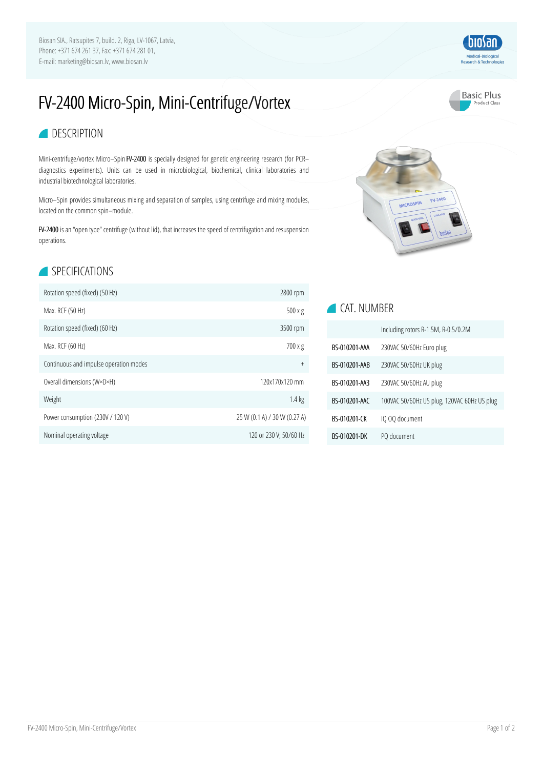Biosan SIA., Ratsupites 7, build. 2, Riga, LV-1067, Latvia, Phone: +371 674 261 37, Fax: +371 674 281 01, E-mail: marketing@biosan.lv, www.biosan.lv

# FV-2400 Micro-Spin, Mini-Centrifuge/Vortex

#### **Basic Plus** Product Class

biosan<sup>1</sup> Medical-Biological<br>Research & Technologie

#### **DESCRIPTION**

Mini-centrifuge/vortex Micro–Spin FV-2400 is specially designed for genetic engineering research (for PCR– diagnostics experiments). Units can be used in microbiological, biochemical, clinical laboratories and industrial biotechnological laboratories.

Micro–Spin provides simultaneous mixing and separation of samples, using centrifuge and mixing modules, located on the common spin–module.

FV-2400 is an "open type" centrifuge (without lid), that increases the speed of centrifugation and resuspension operations.

## SPECIFICATIONS

| Rotation speed (fixed) (50 Hz)         | 2800 rpm                     |
|----------------------------------------|------------------------------|
| Max. RCF (50 Hz)                       | $500 \times g$               |
| Rotation speed (fixed) (60 Hz)         | 3500 rpm                     |
| Max. RCF (60 Hz)                       | 700 x g                      |
| Continuous and impulse operation modes | $^{+}$                       |
| Overall dimensions (W×D×H)             | 120x170x120 mm               |
| Weight                                 | $1.4 \text{ kg}$             |
| Power consumption (230V / 120 V)       | 25 W (0.1 A) / 30 W (0.27 A) |
| Nominal operating voltage              | 120 or 230 V; 50/60 Hz       |



### **CAT. NUMBER**

|               | Including rotors R-1.5M, R-0.5/0.2M         |
|---------------|---------------------------------------------|
| RS-010201-AAA | 230VAC 50/60Hz Euro plug                    |
| BS-010201-AAB | 230VAC 50/60Hz UK plug                      |
| BS-010201-AA3 | 230VAC 50/60Hz AU plug                      |
| BS-010201-AAC | 100VAC 50/60Hz US plug, 120VAC 60Hz US plug |
| RS-010201-CK  | IQ OQ document                              |
| BS-010201-DK  | PQ document                                 |